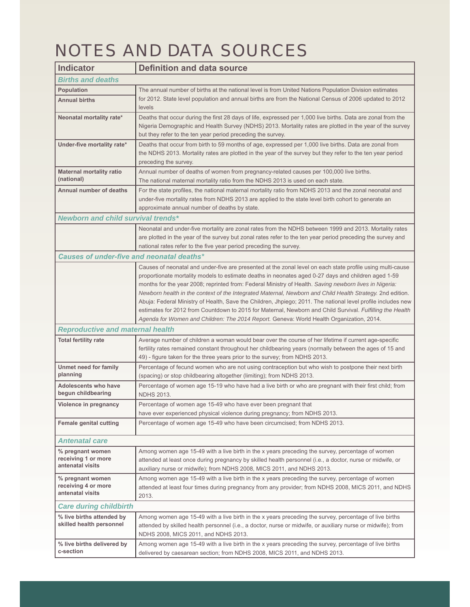## NOTES AND DATA SOURCES

| <b>Indicator</b>                                            | <b>Definition and data source</b>                                                                                                                                                                                                                                                                                                                                                                                                                                                                                                                                                                                                                                                                                                                                 |  |
|-------------------------------------------------------------|-------------------------------------------------------------------------------------------------------------------------------------------------------------------------------------------------------------------------------------------------------------------------------------------------------------------------------------------------------------------------------------------------------------------------------------------------------------------------------------------------------------------------------------------------------------------------------------------------------------------------------------------------------------------------------------------------------------------------------------------------------------------|--|
| <b>Births and deaths</b>                                    |                                                                                                                                                                                                                                                                                                                                                                                                                                                                                                                                                                                                                                                                                                                                                                   |  |
| <b>Population</b>                                           | The annual number of births at the national level is from United Nations Population Division estimates                                                                                                                                                                                                                                                                                                                                                                                                                                                                                                                                                                                                                                                            |  |
| <b>Annual births</b>                                        | for 2012. State level population and annual births are from the National Census of 2006 updated to 2012<br>levels                                                                                                                                                                                                                                                                                                                                                                                                                                                                                                                                                                                                                                                 |  |
| Neonatal mortality rate*                                    | Deaths that occur during the first 28 days of life, expressed per 1,000 live births. Data are zonal from the<br>Nigeria Demographic and Health Survey (NDHS) 2013. Mortality rates are plotted in the year of the survey<br>but they refer to the ten year period preceding the survey.                                                                                                                                                                                                                                                                                                                                                                                                                                                                           |  |
| Under-five mortality rate*                                  | Deaths that occur from birth to 59 months of age, expressed per 1,000 live births. Data are zonal from<br>the NDHS 2013. Mortality rates are plotted in the year of the survey but they refer to the ten year period<br>preceding the survey.                                                                                                                                                                                                                                                                                                                                                                                                                                                                                                                     |  |
| <b>Maternal mortality ratio</b><br>(national)               | Annual number of deaths of women from pregnancy-related causes per 100,000 live births.<br>The national maternal mortality ratio from the NDHS 2013 is used on each state.                                                                                                                                                                                                                                                                                                                                                                                                                                                                                                                                                                                        |  |
| <b>Annual number of deaths</b>                              | For the state profiles, the national maternal mortality ratio from NDHS 2013 and the zonal neonatal and<br>under-five mortality rates from NDHS 2013 are applied to the state level birth cohort to generate an<br>approximate annual number of deaths by state.                                                                                                                                                                                                                                                                                                                                                                                                                                                                                                  |  |
| Newborn and child survival trends*                          |                                                                                                                                                                                                                                                                                                                                                                                                                                                                                                                                                                                                                                                                                                                                                                   |  |
|                                                             | Neonatal and under-five mortality are zonal rates from the NDHS between 1999 and 2013. Mortality rates<br>are plotted in the year of the survey but zonal rates refer to the ten year period preceding the survey and<br>national rates refer to the five year period preceding the survey.                                                                                                                                                                                                                                                                                                                                                                                                                                                                       |  |
| Causes of under-five and neonatal deaths*                   |                                                                                                                                                                                                                                                                                                                                                                                                                                                                                                                                                                                                                                                                                                                                                                   |  |
|                                                             | Causes of neonatal and under-five are presented at the zonal level on each state profile using multi-cause<br>proportionate mortality models to estimate deaths in neonates aged 0-27 days and children aged 1-59<br>months for the year 2008; reprinted from: Federal Ministry of Health. Saving newborn lives in Nigeria:<br>Newborn health in the context of the Integrated Maternal, Newborn and Child Health Strategy. 2nd edition.<br>Abuja: Federal Ministry of Health, Save the Children, Jhpiego; 2011. The national level profile includes new<br>estimates for 2012 from Countdown to 2015 for Maternal, Newborn and Child Survival. Fulfilling the Health<br>Agenda for Women and Children: The 2014 Report. Geneva: World Health Organization, 2014. |  |
| <b>Reproductive and maternal health</b>                     |                                                                                                                                                                                                                                                                                                                                                                                                                                                                                                                                                                                                                                                                                                                                                                   |  |
| <b>Total fertility rate</b>                                 | Average number of children a woman would bear over the course of her lifetime if current age-specific<br>fertility rates remained constant throughout her childbearing years (normally between the ages of 15 and<br>49) - figure taken for the three years prior to the survey; from NDHS 2013.                                                                                                                                                                                                                                                                                                                                                                                                                                                                  |  |
| Unmet need for family<br>planning                           | Percentage of fecund women who are not using contraception but who wish to postpone their next birth<br>(spacing) or stop childbearing altogether (limiting); from NDHS 2013.                                                                                                                                                                                                                                                                                                                                                                                                                                                                                                                                                                                     |  |
| <b>Adolescents who have</b><br>begun childbearing           | Percentage of women age 15-19 who have had a live birth or who are pregnant with their first child; from<br><b>NDHS 2013.</b>                                                                                                                                                                                                                                                                                                                                                                                                                                                                                                                                                                                                                                     |  |
| Violence in pregnancy                                       | Percentage of women age 15-49 who have ever been pregnant that<br>have ever experienced physical violence during pregnancy; from NDHS 2013.                                                                                                                                                                                                                                                                                                                                                                                                                                                                                                                                                                                                                       |  |
| <b>Female genital cutting</b>                               | Percentage of women age 15-49 who have been circumcised; from NDHS 2013.                                                                                                                                                                                                                                                                                                                                                                                                                                                                                                                                                                                                                                                                                          |  |
| <b>Antenatal care</b>                                       |                                                                                                                                                                                                                                                                                                                                                                                                                                                                                                                                                                                                                                                                                                                                                                   |  |
| % pregnant women<br>receiving 1 or more<br>antenatal visits | Among women age 15-49 with a live birth in the x years preceding the survey, percentage of women<br>attended at least once during pregnancy by skilled health personnel (i.e., a doctor, nurse or midwife, or<br>auxiliary nurse or midwife); from NDHS 2008, MICS 2011, and NDHS 2013.                                                                                                                                                                                                                                                                                                                                                                                                                                                                           |  |
| % pregnant women<br>receiving 4 or more<br>antenatal visits | Among women age 15-49 with a live birth in the x years preceding the survey, percentage of women<br>attended at least four times during pregnancy from any provider; from NDHS 2008, MICS 2011, and NDHS<br>2013.                                                                                                                                                                                                                                                                                                                                                                                                                                                                                                                                                 |  |
| <b>Care during childbirth</b>                               |                                                                                                                                                                                                                                                                                                                                                                                                                                                                                                                                                                                                                                                                                                                                                                   |  |
| % live births attended by<br>skilled health personnel       | Among women age 15-49 with a live birth in the x years preceding the survey, percentage of live births<br>attended by skilled health personnel (i.e., a doctor, nurse or midwife, or auxiliary nurse or midwife); from<br>NDHS 2008, MICS 2011, and NDHS 2013.                                                                                                                                                                                                                                                                                                                                                                                                                                                                                                    |  |
| % live births delivered by<br>c-section                     | Among women age 15-49 with a live birth in the x years preceding the survey, percentage of live births<br>delivered by caesarean section; from NDHS 2008, MICS 2011, and NDHS 2013.                                                                                                                                                                                                                                                                                                                                                                                                                                                                                                                                                                               |  |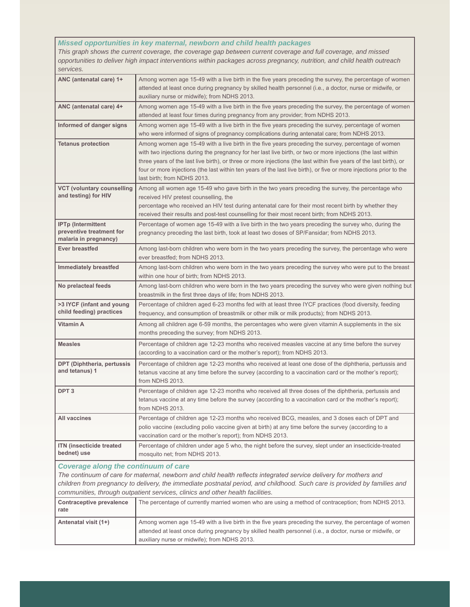## *Missed opportunities in key maternal, newborn and child health packages*

*This graph shows the current coverage, the coverage gap between current coverage and full coverage, and missed opportunities to deliver high impact interventions within packages across pregnancy, nutrition, and child health outreach services.*

| ANC (antenatal care) 1+                                                                                                                                                                                                                                                                                                                                                         | Among women age 15-49 with a live birth in the five years preceding the survey, the percentage of women<br>attended at least once during pregnancy by skilled health personnel (i.e., a doctor, nurse or midwife, or<br>auxiliary nurse or midwife); from NDHS 2013.                                                                                                                                                                                                                             |  |
|---------------------------------------------------------------------------------------------------------------------------------------------------------------------------------------------------------------------------------------------------------------------------------------------------------------------------------------------------------------------------------|--------------------------------------------------------------------------------------------------------------------------------------------------------------------------------------------------------------------------------------------------------------------------------------------------------------------------------------------------------------------------------------------------------------------------------------------------------------------------------------------------|--|
| ANC (antenatal care) 4+                                                                                                                                                                                                                                                                                                                                                         | Among women age 15-49 with a live birth in the five years preceding the survey, the percentage of women<br>attended at least four times during pregnancy from any provider; from NDHS 2013.                                                                                                                                                                                                                                                                                                      |  |
| Informed of danger signs                                                                                                                                                                                                                                                                                                                                                        | Among women age 15-49 with a live birth in the five years preceding the survey, percentage of women<br>who were informed of signs of pregnancy complications during antenatal care; from NDHS 2013.                                                                                                                                                                                                                                                                                              |  |
| <b>Tetanus protection</b>                                                                                                                                                                                                                                                                                                                                                       | Among women age 15-49 with a live birth in the five years preceding the survey, percentage of women<br>with two injections during the pregnancy for her last live birth, or two or more injections (the last within<br>three years of the last live birth), or three or more injections (the last within five years of the last birth), or<br>four or more injections (the last within ten years of the last live birth), or five or more injections prior to the<br>last birth; from NDHS 2013. |  |
| <b>VCT (voluntary counselling</b><br>and testing) for HIV                                                                                                                                                                                                                                                                                                                       | Among all women age 15-49 who gave birth in the two years preceding the survey, the percentage who<br>received HIV pretest counselling, the<br>percentage who received an HIV test during antenatal care for their most recent birth by whether they<br>received their results and post-test counselling for their most recent birth; from NDHS 2013.                                                                                                                                            |  |
| <b>IPTp (Intermittent)</b><br>preventive treatment for<br>malaria in pregnancy)                                                                                                                                                                                                                                                                                                 | Percentage of women age 15-49 with a live birth in the two years preceding the survey who, during the<br>pregnancy preceding the last birth, took at least two doses of SP/Fansidar; from NDHS 2013.                                                                                                                                                                                                                                                                                             |  |
| <b>Ever breastfed</b>                                                                                                                                                                                                                                                                                                                                                           | Among last-born children who were born in the two years preceding the survey, the percentage who were<br>ever breastfed; from NDHS 2013.                                                                                                                                                                                                                                                                                                                                                         |  |
| Immediately breastfed                                                                                                                                                                                                                                                                                                                                                           | Among last-born children who were born in the two years preceding the survey who were put to the breast<br>within one hour of birth; from NDHS 2013.                                                                                                                                                                                                                                                                                                                                             |  |
| No prelacteal feeds                                                                                                                                                                                                                                                                                                                                                             | Among last-born children who were born in the two years preceding the survey who were given nothing but<br>breastmilk in the first three days of life; from NDHS 2013.                                                                                                                                                                                                                                                                                                                           |  |
| >3 IYCF (infant and young<br>child feeding) practices                                                                                                                                                                                                                                                                                                                           | Percentage of children aged 6-23 months fed with at least three IYCF practices (food diversity, feeding<br>frequency, and consumption of breastmilk or other milk or milk products); from NDHS 2013.                                                                                                                                                                                                                                                                                             |  |
| Vitamin A                                                                                                                                                                                                                                                                                                                                                                       | Among all children age 6-59 months, the percentages who were given vitamin A supplements in the six<br>months preceding the survey; from NDHS 2013.                                                                                                                                                                                                                                                                                                                                              |  |
| <b>Measles</b>                                                                                                                                                                                                                                                                                                                                                                  | Percentage of children age 12-23 months who received measles vaccine at any time before the survey<br>(according to a vaccination card or the mother's report); from NDHS 2013.                                                                                                                                                                                                                                                                                                                  |  |
| DPT (Diphtheria, pertussis<br>and tetanus) 1                                                                                                                                                                                                                                                                                                                                    | Percentage of children age 12-23 months who received at least one dose of the diphtheria, pertussis and<br>tetanus vaccine at any time before the survey (according to a vaccination card or the mother's report);<br>from NDHS 2013.                                                                                                                                                                                                                                                            |  |
| DPT <sub>3</sub>                                                                                                                                                                                                                                                                                                                                                                | Percentage of children age 12-23 months who received all three doses of the diphtheria, pertussis and<br>tetanus vaccine at any time before the survey (according to a vaccination card or the mother's report);<br>from NDHS 2013.                                                                                                                                                                                                                                                              |  |
| All vaccines                                                                                                                                                                                                                                                                                                                                                                    | Percentage of children age 12-23 months who received BCG, measles, and 3 doses each of DPT and<br>polio vaccine (excluding polio vaccine given at birth) at any time before the survey (according to a<br>vaccination card or the mother's report); from NDHS 2013.                                                                                                                                                                                                                              |  |
| <b>ITN</b> (insecticide treated<br>bednet) use                                                                                                                                                                                                                                                                                                                                  | Percentage of children under age 5 who, the night before the survey, slept under an insecticide-treated<br>mosquito net; from NDHS 2013.                                                                                                                                                                                                                                                                                                                                                         |  |
| <b>Coverage along the continuum of care</b><br>The continuum of care for maternal, newborn and child health reflects integrated service delivery for mothers and<br>children from pregnancy to delivery, the immediate postnatal period, and childhood. Such care is provided by families and<br>communities, through outpatient services, clinics and other health facilities. |                                                                                                                                                                                                                                                                                                                                                                                                                                                                                                  |  |
| Contraceptive prevalence<br>rate                                                                                                                                                                                                                                                                                                                                                | The percentage of currently married women who are using a method of contraception; from NDHS 2013.                                                                                                                                                                                                                                                                                                                                                                                               |  |
| Antenatal visit (1+)                                                                                                                                                                                                                                                                                                                                                            | Among women age 15-49 with a live birth in the five years preceding the survey, the percentage of women<br>attended at least once during pregnancy by skilled health personnel (i.e., a doctor, nurse or midwife, or<br>auxiliary nurse or midwife); from NDHS 2013.                                                                                                                                                                                                                             |  |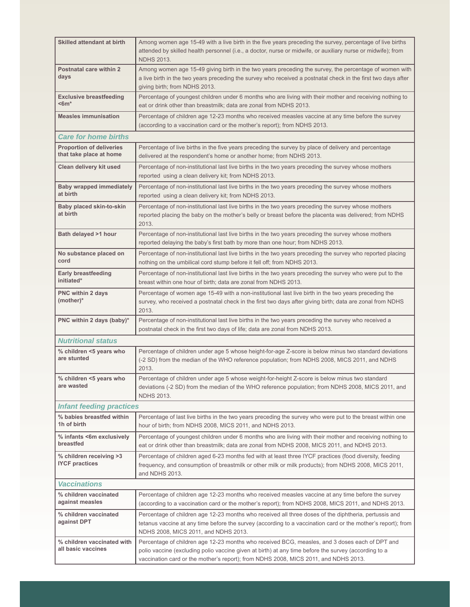| <b>Skilled attendant at birth</b>                          | Among women age 15-49 with a live birth in the five years preceding the survey, percentage of live births<br>attended by skilled health personnel (i.e., a doctor, nurse or midwife, or auxiliary nurse or midwife); from<br><b>NDHS 2013.</b>                                                |  |  |
|------------------------------------------------------------|-----------------------------------------------------------------------------------------------------------------------------------------------------------------------------------------------------------------------------------------------------------------------------------------------|--|--|
| Postnatal care within 2<br>days                            | Among women age 15-49 giving birth in the two years preceding the survey, the percentage of women with<br>a live birth in the two years preceding the survey who received a postnatal check in the first two days after<br>giving birth; from NDHS 2013.                                      |  |  |
| <b>Exclusive breastfeeding</b><br>$<$ 6m $*$               | Percentage of youngest children under 6 months who are living with their mother and receiving nothing to<br>eat or drink other than breastmilk; data are zonal from NDHS 2013.                                                                                                                |  |  |
| <b>Measles immunisation</b>                                | Percentage of children age 12-23 months who received measles vaccine at any time before the survey<br>(according to a vaccination card or the mother's report); from NDHS 2013.                                                                                                               |  |  |
| <b>Care for home births</b>                                |                                                                                                                                                                                                                                                                                               |  |  |
| <b>Proportion of deliveries</b><br>that take place at home | Percentage of live births in the five years preceding the survey by place of delivery and percentage<br>delivered at the respondent's home or another home; from NDHS 2013.                                                                                                                   |  |  |
| Clean delivery kit used                                    | Percentage of non-institutional last live births in the two years preceding the survey whose mothers<br>reported using a clean delivery kit; from NDHS 2013.                                                                                                                                  |  |  |
| <b>Baby wrapped immediately</b><br>at birth                | Percentage of non-institutional last live births in the two years preceding the survey whose mothers<br>reported using a clean delivery kit; from NDHS 2013.                                                                                                                                  |  |  |
| Baby placed skin-to-skin<br>at birth                       | Percentage of non-institutional last live births in the two years preceding the survey whose mothers<br>reported placing the baby on the mother's belly or breast before the placenta was delivered; from NDHS<br>2013.                                                                       |  |  |
| Bath delayed >1 hour                                       | Percentage of non-institutional last live births in the two years preceding the survey whose mothers<br>reported delaying the baby's first bath by more than one hour; from NDHS 2013.                                                                                                        |  |  |
| No substance placed on<br>cord                             | Percentage of non-institutional last live births in the two years preceding the survey who reported placing<br>nothing on the umbilical cord stump before it fell off; from NDHS 2013.                                                                                                        |  |  |
| <b>Early breastfeeding</b><br>initiated*                   | Percentage of non-institutional last live births in the two years preceding the survey who were put to the<br>breast within one hour of birth; data are zonal from NDHS 2013.                                                                                                                 |  |  |
| PNC within 2 days<br>(mother)*                             | Percentage of women age 15-49 with a non-institutional last live birth in the two years preceding the<br>survey, who received a postnatal check in the first two days after giving birth; data are zonal from NDHS<br>2013.                                                                   |  |  |
| PNC within 2 days (baby)*                                  | Percentage of non-institutional last live births in the two years preceding the survey who received a<br>postnatal check in the first two days of life; data are zonal from NDHS 2013.                                                                                                        |  |  |
| <b>Nutritional status</b>                                  |                                                                                                                                                                                                                                                                                               |  |  |
| % children <5 years who<br>are stunted                     | Percentage of children under age 5 whose height-for-age Z-score is below minus two standard deviations<br>(-2 SD) from the median of the WHO reference population; from NDHS 2008, MICS 2011, and NDHS<br>2013.                                                                               |  |  |
| % children <5 years who<br>are wasted                      | Percentage of children under age 5 whose weight-for-height Z-score is below minus two standard<br>deviations (-2 SD) from the median of the WHO reference population; from NDHS 2008, MICS 2011, and<br><b>NDHS 2013.</b>                                                                     |  |  |
| <b>Infant feeding practices</b>                            |                                                                                                                                                                                                                                                                                               |  |  |
| % babies breastfed within<br>1h of birth                   | Percentage of last live births in the two years preceding the survey who were put to the breast within one<br>hour of birth; from NDHS 2008, MICS 2011, and NDHS 2013.                                                                                                                        |  |  |
| % infants <6m exclusively<br>breastfed                     | Percentage of youngest children under 6 months who are living with their mother and receiving nothing to<br>eat or drink other than breastmilk; data are zonal from NDHS 2008, MICS 2011, and NDHS 2013.                                                                                      |  |  |
| % children receiving >3<br><b>IYCF</b> practices           | Percentage of children aged 6-23 months fed with at least three IYCF practices (food diversity, feeding<br>frequency, and consumption of breastmilk or other milk or milk products); from NDHS 2008, MICS 2011,<br>and NDHS 2013.                                                             |  |  |
| <b>Vaccinations</b>                                        |                                                                                                                                                                                                                                                                                               |  |  |
| % children vaccinated<br>against measles                   | Percentage of children age 12-23 months who received measles vaccine at any time before the survey<br>(according to a vaccination card or the mother's report); from NDHS 2008, MICS 2011, and NDHS 2013.                                                                                     |  |  |
| % children vaccinated<br>against DPT                       | Percentage of children age 12-23 months who received all three doses of the diphtheria, pertussis and<br>tetanus vaccine at any time before the survey (according to a vaccination card or the mother's report); from<br>NDHS 2008, MICS 2011, and NDHS 2013.                                 |  |  |
| % children vaccinated with<br>all basic vaccines           | Percentage of children age 12-23 months who received BCG, measles, and 3 doses each of DPT and<br>polio vaccine (excluding polio vaccine given at birth) at any time before the survey (according to a<br>vaccination card or the mother's report); from NDHS 2008, MICS 2011, and NDHS 2013. |  |  |